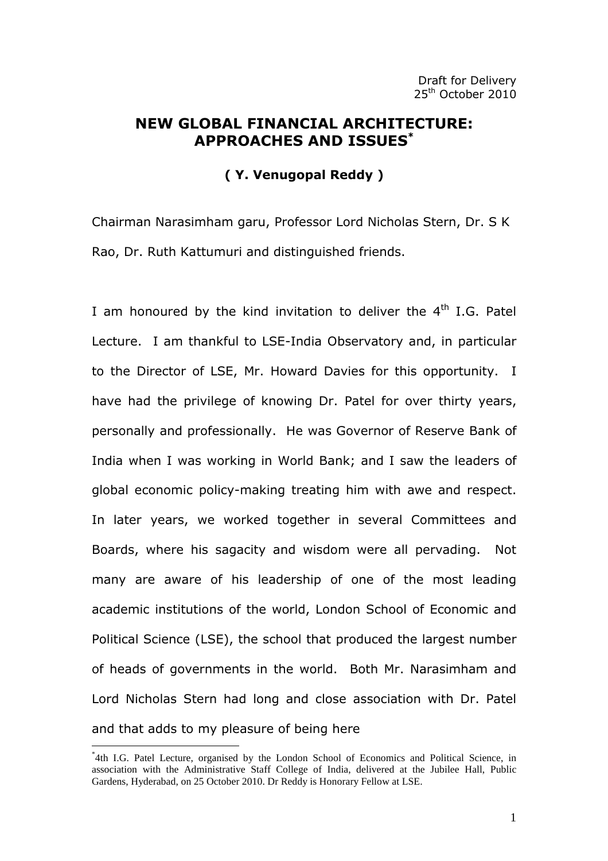# NEW GLOBAL FINANCIAL ARCHITECTURE: APPROACHES AND ISSUES\*

# ( Y. Venugopal Reddy )

Chairman Narasimham garu, Professor Lord Nicholas Stern, Dr. S K Rao, Dr. Ruth Kattumuri and distinguished friends.

I am honoured by the kind invitation to deliver the  $4<sup>th</sup>$  I.G. Patel Lecture. I am thankful to LSE-India Observatory and, in particular to the Director of LSE, Mr. Howard Davies for this opportunity. I have had the privilege of knowing Dr. Patel for over thirty years, personally and professionally. He was Governor of Reserve Bank of India when I was working in World Bank; and I saw the leaders of global economic policy-making treating him with awe and respect. In later years, we worked together in several Committees and Boards, where his sagacity and wisdom were all pervading. Not many are aware of his leadership of one of the most leading academic institutions of the world, London School of Economic and Political Science (LSE), the school that produced the largest number of heads of governments in the world. Both Mr. Narasimham and Lord Nicholas Stern had long and close association with Dr. Patel and that adds to my pleasure of being here

 $\overline{a}$ 

<sup>\*</sup> 4th I.G. Patel Lecture, organised by the London School of Economics and Political Science, in association with the Administrative Staff College of India, delivered at the Jubilee Hall, Public Gardens, Hyderabad, on 25 October 2010. Dr Reddy is Honorary Fellow at LSE.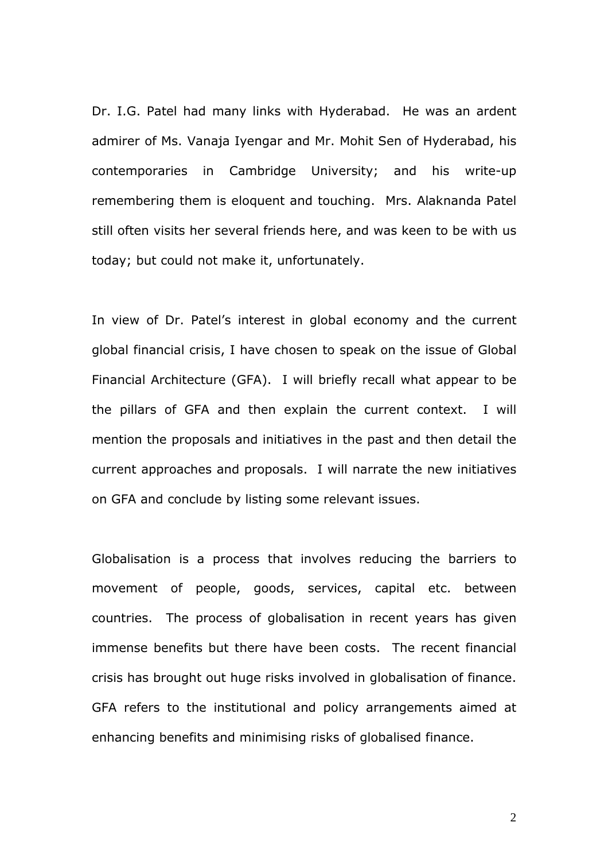Dr. I.G. Patel had many links with Hyderabad. He was an ardent admirer of Ms. Vanaja Iyengar and Mr. Mohit Sen of Hyderabad, his contemporaries in Cambridge University; and his write-up remembering them is eloquent and touching. Mrs. Alaknanda Patel still often visits her several friends here, and was keen to be with us today; but could not make it, unfortunately.

In view of Dr. Patel's interest in global economy and the current global financial crisis, I have chosen to speak on the issue of Global Financial Architecture (GFA). I will briefly recall what appear to be the pillars of GFA and then explain the current context. I will mention the proposals and initiatives in the past and then detail the current approaches and proposals. I will narrate the new initiatives on GFA and conclude by listing some relevant issues.

Globalisation is a process that involves reducing the barriers to movement of people, goods, services, capital etc. between countries. The process of globalisation in recent years has given immense benefits but there have been costs. The recent financial crisis has brought out huge risks involved in globalisation of finance. GFA refers to the institutional and policy arrangements aimed at enhancing benefits and minimising risks of globalised finance.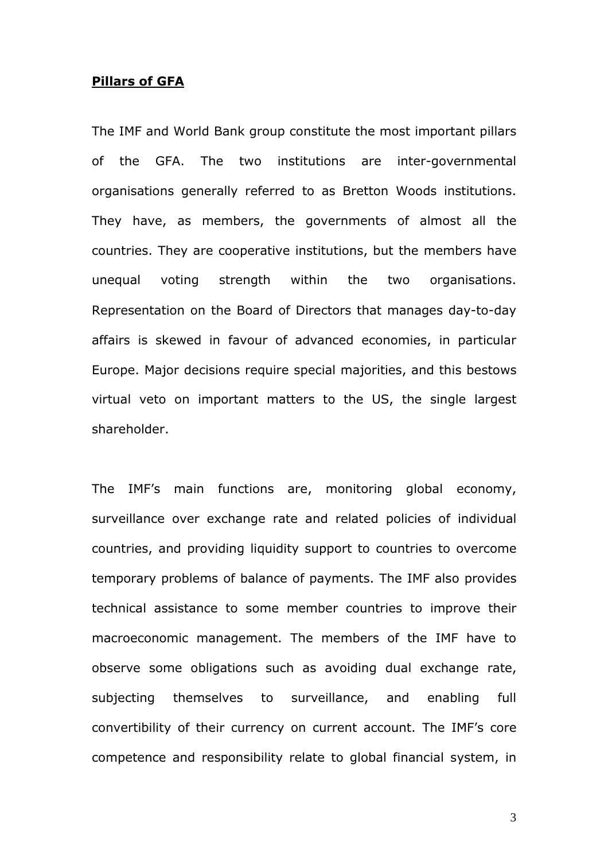#### Pillars of GFA

The IMF and World Bank group constitute the most important pillars of the GFA. The two institutions are inter-governmental organisations generally referred to as Bretton Woods institutions. They have, as members, the governments of almost all the countries. They are cooperative institutions, but the members have unequal voting strength within the two organisations. Representation on the Board of Directors that manages day-to-day affairs is skewed in favour of advanced economies, in particular Europe. Major decisions require special majorities, and this bestows virtual veto on important matters to the US, the single largest shareholder.

The IMF's main functions are, monitoring global economy, surveillance over exchange rate and related policies of individual countries, and providing liquidity support to countries to overcome temporary problems of balance of payments. The IMF also provides technical assistance to some member countries to improve their macroeconomic management. The members of the IMF have to observe some obligations such as avoiding dual exchange rate, subjecting themselves to surveillance, and enabling full convertibility of their currency on current account. The IMF's core competence and responsibility relate to global financial system, in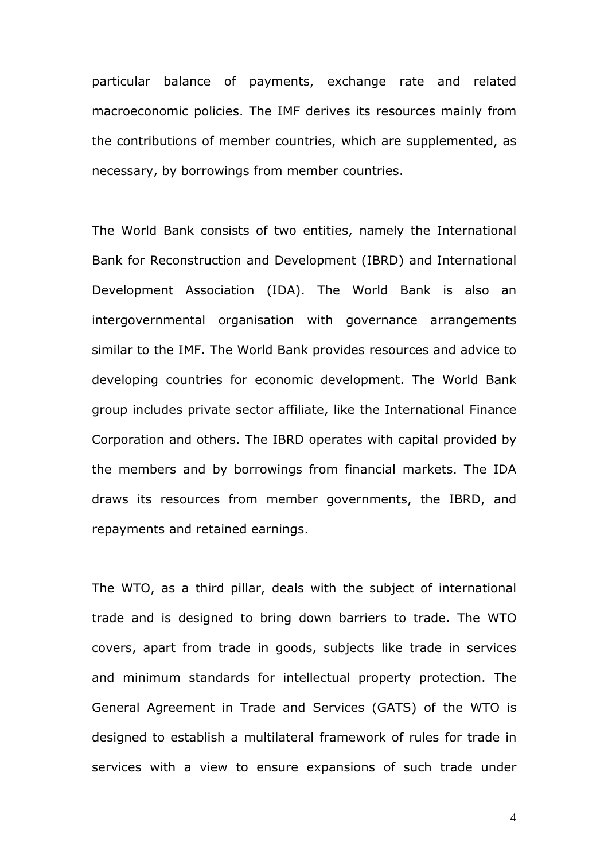particular balance of payments, exchange rate and related macroeconomic policies. The IMF derives its resources mainly from the contributions of member countries, which are supplemented, as necessary, by borrowings from member countries.

The World Bank consists of two entities, namely the International Bank for Reconstruction and Development (IBRD) and International Development Association (IDA). The World Bank is also an intergovernmental organisation with governance arrangements similar to the IMF. The World Bank provides resources and advice to developing countries for economic development. The World Bank group includes private sector affiliate, like the International Finance Corporation and others. The IBRD operates with capital provided by the members and by borrowings from financial markets. The IDA draws its resources from member governments, the IBRD, and repayments and retained earnings.

The WTO, as a third pillar, deals with the subject of international trade and is designed to bring down barriers to trade. The WTO covers, apart from trade in goods, subjects like trade in services and minimum standards for intellectual property protection. The General Agreement in Trade and Services (GATS) of the WTO is designed to establish a multilateral framework of rules for trade in services with a view to ensure expansions of such trade under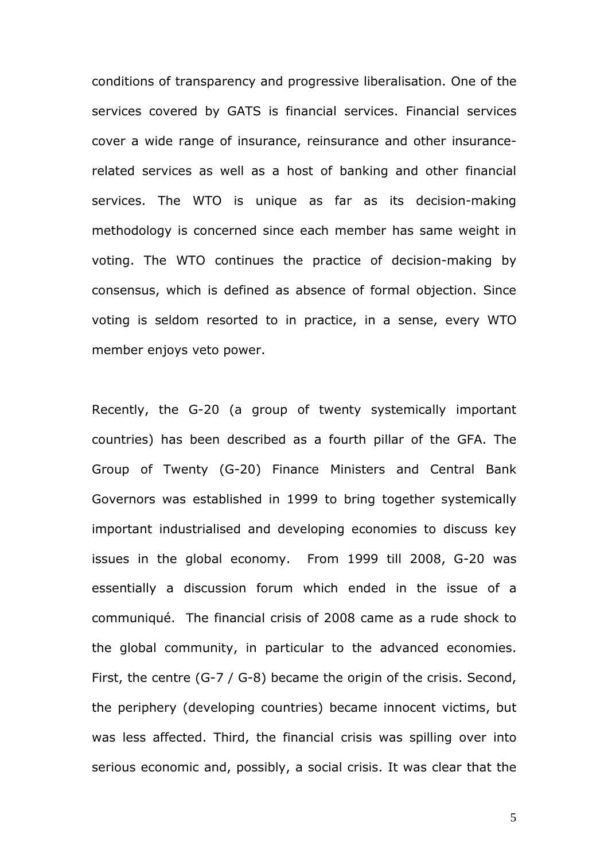conditions of transparency and progressive liberalisation. One of the services covered by GATS is financial services. Financial services cover a wide range of insurance, reinsurance and other insurancerelated services as well as a host of banking and other financial services. The WTO is unique as far as its decision-making methodology is concerned since each member has same weight in voting. The WTO continues the practice of decision-making by consensus, which is defined as absence of formal objection. Since voting is seldom resorted to in practice, in a sense, every WTO member enjoys veto power.

Recently, the G-20 (a group of twenty systemically important countries) has been described as a fourth pillar of the GFA. The Group of Twenty (G-20) Finance Ministers and Central Bank Governors was established in 1999 to bring together systemically important industrialised and developing economies to discuss key issues in the global economy. From 1999 till 2008, G-20 was essentially a discussion forum which ended in the issue of a communiqué. The financial crisis of 2008 came as a rude shock to the global community, in particular to the advanced economies. First, the centre (G-7 / G-8) became the origin of the crisis. Second, the periphery (developing countries) became innocent victims, but was less affected. Third, the financial crisis was spilling over into serious economic and, possibly, a social crisis. It was clear that the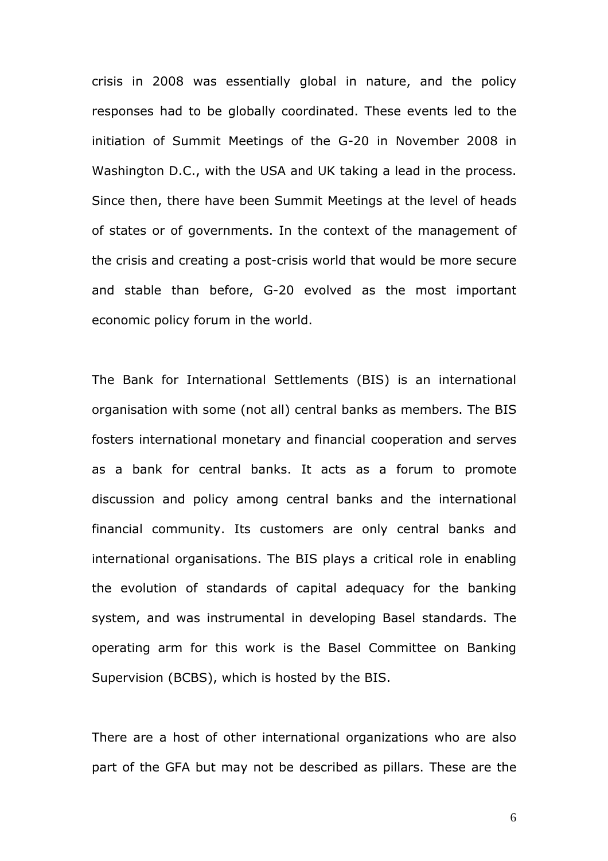crisis in 2008 was essentially global in nature, and the policy responses had to be globally coordinated. These events led to the initiation of Summit Meetings of the G-20 in November 2008 in Washington D.C., with the USA and UK taking a lead in the process. Since then, there have been Summit Meetings at the level of heads of states or of governments. In the context of the management of the crisis and creating a post-crisis world that would be more secure and stable than before, G-20 evolved as the most important economic policy forum in the world.

The Bank for International Settlements (BIS) is an international organisation with some (not all) central banks as members. The BIS fosters international monetary and financial cooperation and serves as a bank for central banks. It acts as a forum to promote discussion and policy among central banks and the international financial community. Its customers are only central banks and international organisations. The BIS plays a critical role in enabling the evolution of standards of capital adequacy for the banking system, and was instrumental in developing Basel standards. The operating arm for this work is the Basel Committee on Banking Supervision (BCBS), which is hosted by the BIS.

There are a host of other international organizations who are also part of the GFA but may not be described as pillars. These are the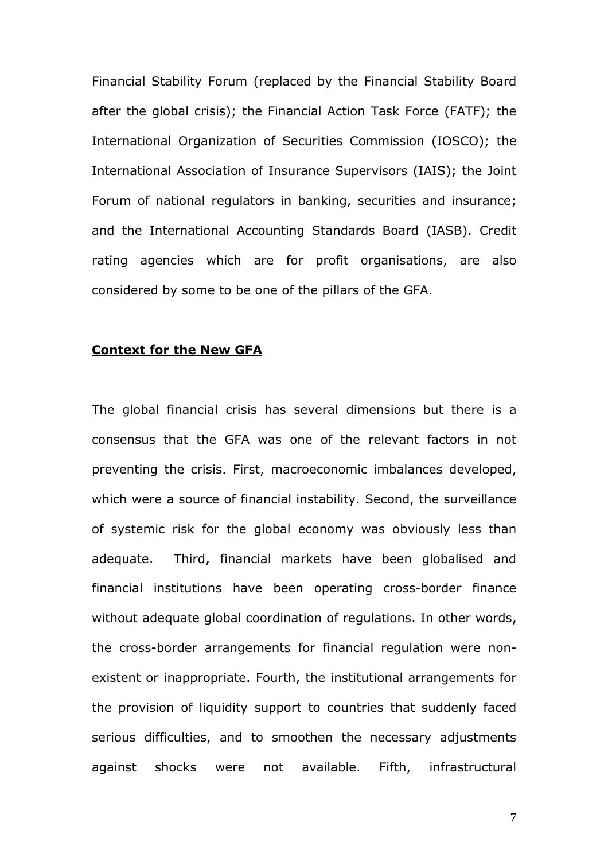Financial Stability Forum (replaced by the Financial Stability Board after the global crisis); the Financial Action Task Force (FATF); the International Organization of Securities Commission (IOSCO); the International Association of Insurance Supervisors (IAIS); the Joint Forum of national regulators in banking, securities and insurance; and the International Accounting Standards Board (IASB). Credit rating agencies which are for profit organisations, are also considered by some to be one of the pillars of the GFA.

#### Context for the New GFA

The global financial crisis has several dimensions but there is a consensus that the GFA was one of the relevant factors in not preventing the crisis. First, macroeconomic imbalances developed, which were a source of financial instability. Second, the surveillance of systemic risk for the global economy was obviously less than adequate. Third, financial markets have been globalised and financial institutions have been operating cross-border finance without adequate global coordination of regulations. In other words, the cross-border arrangements for financial regulation were nonexistent or inappropriate. Fourth, the institutional arrangements for the provision of liquidity support to countries that suddenly faced serious difficulties, and to smoothen the necessary adjustments against shocks were not available. Fifth, infrastructural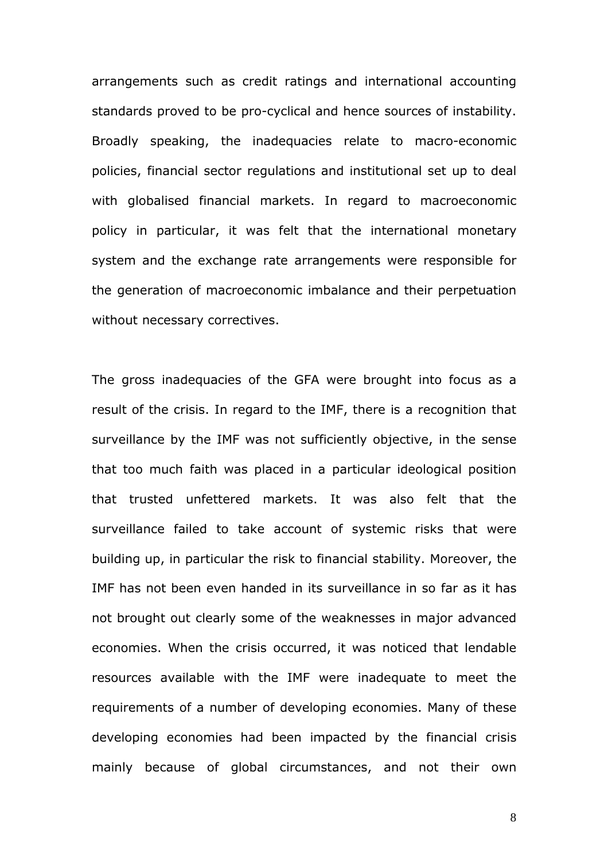arrangements such as credit ratings and international accounting standards proved to be pro-cyclical and hence sources of instability. Broadly speaking, the inadequacies relate to macro-economic policies, financial sector regulations and institutional set up to deal with globalised financial markets. In regard to macroeconomic policy in particular, it was felt that the international monetary system and the exchange rate arrangements were responsible for the generation of macroeconomic imbalance and their perpetuation without necessary correctives.

The gross inadequacies of the GFA were brought into focus as a result of the crisis. In regard to the IMF, there is a recognition that surveillance by the IMF was not sufficiently objective, in the sense that too much faith was placed in a particular ideological position that trusted unfettered markets. It was also felt that the surveillance failed to take account of systemic risks that were building up, in particular the risk to financial stability. Moreover, the IMF has not been even handed in its surveillance in so far as it has not brought out clearly some of the weaknesses in major advanced economies. When the crisis occurred, it was noticed that lendable resources available with the IMF were inadequate to meet the requirements of a number of developing economies. Many of these developing economies had been impacted by the financial crisis mainly because of global circumstances, and not their own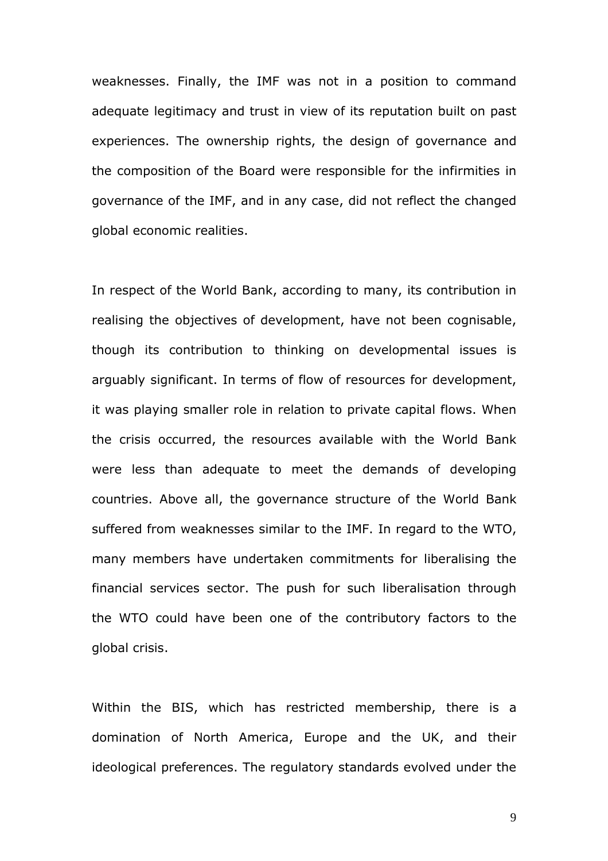weaknesses. Finally, the IMF was not in a position to command adequate legitimacy and trust in view of its reputation built on past experiences. The ownership rights, the design of governance and the composition of the Board were responsible for the infirmities in governance of the IMF, and in any case, did not reflect the changed global economic realities.

In respect of the World Bank, according to many, its contribution in realising the objectives of development, have not been cognisable, though its contribution to thinking on developmental issues is arguably significant. In terms of flow of resources for development, it was playing smaller role in relation to private capital flows. When the crisis occurred, the resources available with the World Bank were less than adequate to meet the demands of developing countries. Above all, the governance structure of the World Bank suffered from weaknesses similar to the IMF. In regard to the WTO, many members have undertaken commitments for liberalising the financial services sector. The push for such liberalisation through the WTO could have been one of the contributory factors to the global crisis.

Within the BIS, which has restricted membership, there is a domination of North America, Europe and the UK, and their ideological preferences. The regulatory standards evolved under the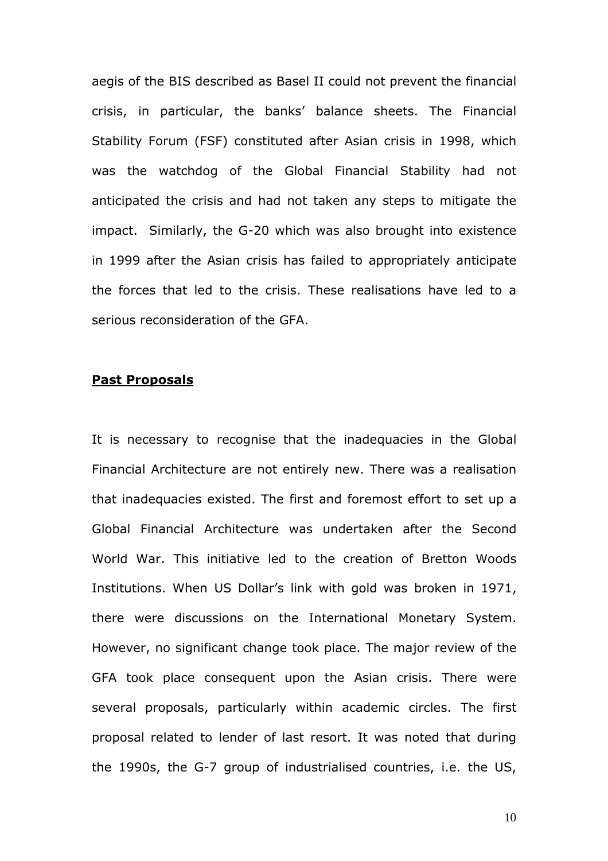aegis of the BIS described as Basel II could not prevent the financial crisis, in particular, the banks' balance sheets. The Financial Stability Forum (FSF) constituted after Asian crisis in 1998, which was the watchdog of the Global Financial Stability had not anticipated the crisis and had not taken any steps to mitigate the impact. Similarly, the G-20 which was also brought into existence in 1999 after the Asian crisis has failed to appropriately anticipate the forces that led to the crisis. These realisations have led to a serious reconsideration of the GFA.

# Past Proposals

It is necessary to recognise that the inadequacies in the Global Financial Architecture are not entirely new. There was a realisation that inadequacies existed. The first and foremost effort to set up a Global Financial Architecture was undertaken after the Second World War. This initiative led to the creation of Bretton Woods Institutions. When US Dollar's link with gold was broken in 1971, there were discussions on the International Monetary System. However, no significant change took place. The major review of the GFA took place consequent upon the Asian crisis. There were several proposals, particularly within academic circles. The first proposal related to lender of last resort. It was noted that during the 1990s, the G-7 group of industrialised countries, i.e. the US,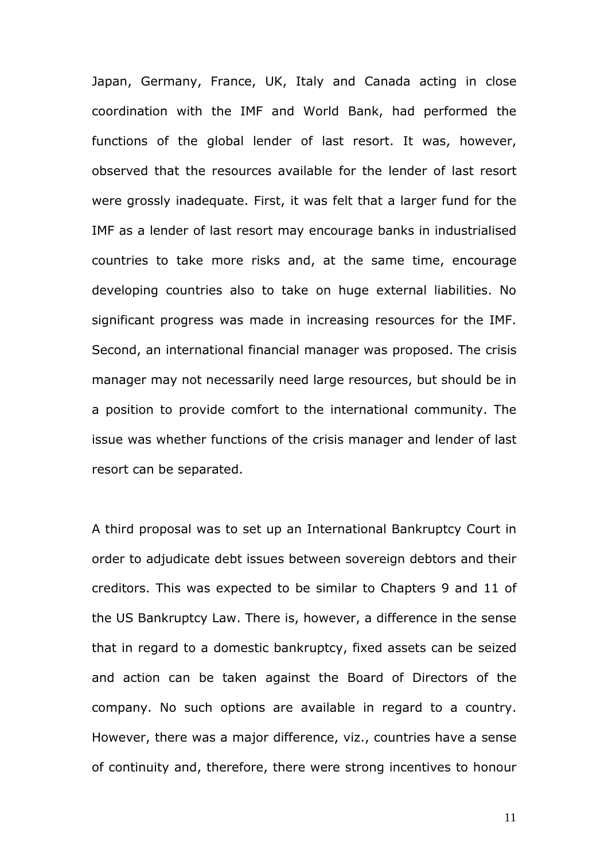Japan, Germany, France, UK, Italy and Canada acting in close coordination with the IMF and World Bank, had performed the functions of the global lender of last resort. It was, however, observed that the resources available for the lender of last resort were grossly inadequate. First, it was felt that a larger fund for the IMF as a lender of last resort may encourage banks in industrialised countries to take more risks and, at the same time, encourage developing countries also to take on huge external liabilities. No significant progress was made in increasing resources for the IMF. Second, an international financial manager was proposed. The crisis manager may not necessarily need large resources, but should be in a position to provide comfort to the international community. The issue was whether functions of the crisis manager and lender of last resort can be separated.

A third proposal was to set up an International Bankruptcy Court in order to adjudicate debt issues between sovereign debtors and their creditors. This was expected to be similar to Chapters 9 and 11 of the US Bankruptcy Law. There is, however, a difference in the sense that in regard to a domestic bankruptcy, fixed assets can be seized and action can be taken against the Board of Directors of the company. No such options are available in regard to a country. However, there was a major difference, viz., countries have a sense of continuity and, therefore, there were strong incentives to honour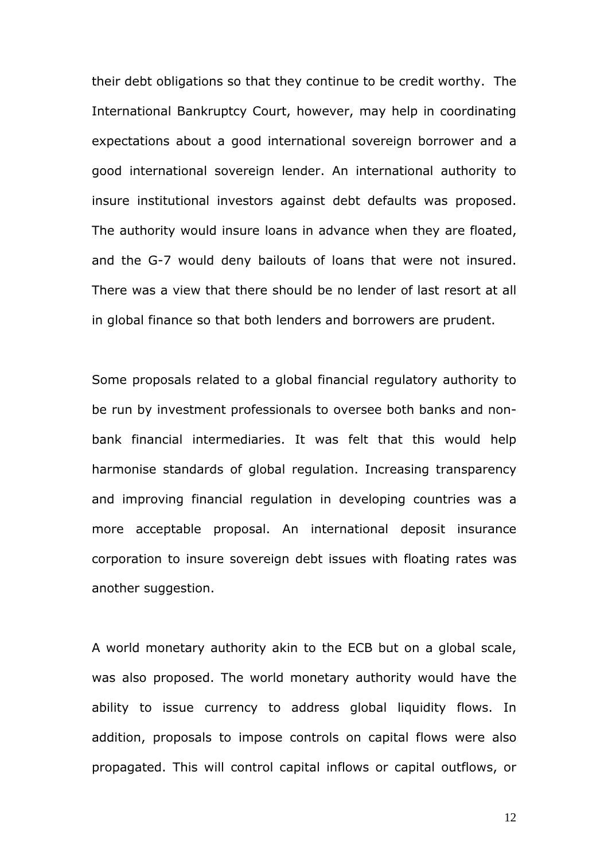their debt obligations so that they continue to be credit worthy. The International Bankruptcy Court, however, may help in coordinating expectations about a good international sovereign borrower and a good international sovereign lender. An international authority to insure institutional investors against debt defaults was proposed. The authority would insure loans in advance when they are floated, and the G-7 would deny bailouts of loans that were not insured. There was a view that there should be no lender of last resort at all in global finance so that both lenders and borrowers are prudent.

Some proposals related to a global financial regulatory authority to be run by investment professionals to oversee both banks and nonbank financial intermediaries. It was felt that this would help harmonise standards of global regulation. Increasing transparency and improving financial regulation in developing countries was a more acceptable proposal. An international deposit insurance corporation to insure sovereign debt issues with floating rates was another suggestion.

A world monetary authority akin to the ECB but on a global scale, was also proposed. The world monetary authority would have the ability to issue currency to address global liquidity flows. In addition, proposals to impose controls on capital flows were also propagated. This will control capital inflows or capital outflows, or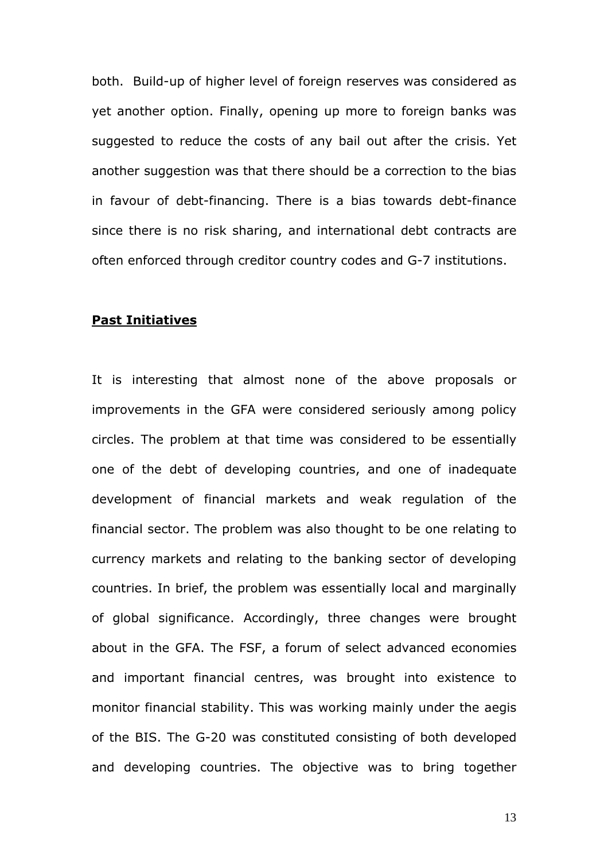both. Build-up of higher level of foreign reserves was considered as yet another option. Finally, opening up more to foreign banks was suggested to reduce the costs of any bail out after the crisis. Yet another suggestion was that there should be a correction to the bias in favour of debt-financing. There is a bias towards debt-finance since there is no risk sharing, and international debt contracts are often enforced through creditor country codes and G-7 institutions.

## Past Initiatives

It is interesting that almost none of the above proposals or improvements in the GFA were considered seriously among policy circles. The problem at that time was considered to be essentially one of the debt of developing countries, and one of inadequate development of financial markets and weak regulation of the financial sector. The problem was also thought to be one relating to currency markets and relating to the banking sector of developing countries. In brief, the problem was essentially local and marginally of global significance. Accordingly, three changes were brought about in the GFA. The FSF, a forum of select advanced economies and important financial centres, was brought into existence to monitor financial stability. This was working mainly under the aegis of the BIS. The G-20 was constituted consisting of both developed and developing countries. The objective was to bring together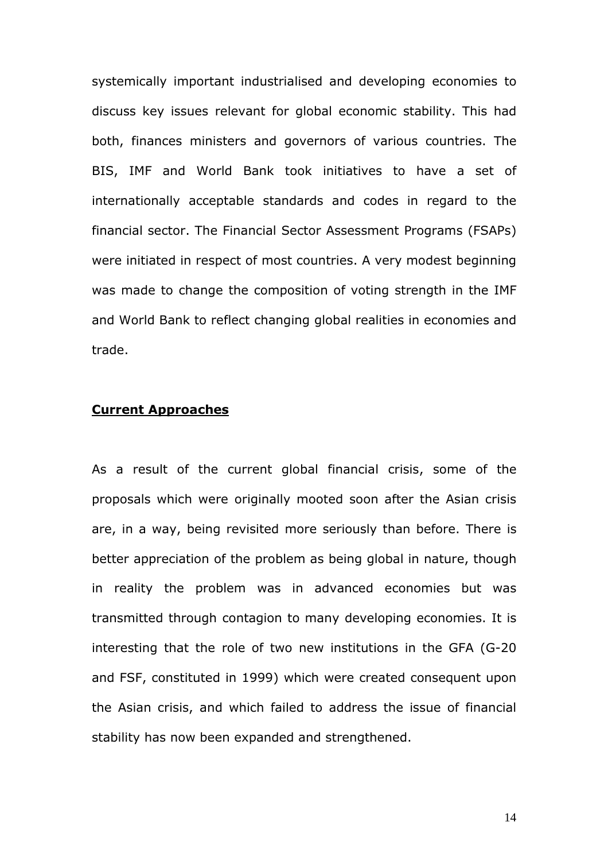systemically important industrialised and developing economies to discuss key issues relevant for global economic stability. This had both, finances ministers and governors of various countries. The BIS, IMF and World Bank took initiatives to have a set of internationally acceptable standards and codes in regard to the financial sector. The Financial Sector Assessment Programs (FSAPs) were initiated in respect of most countries. A very modest beginning was made to change the composition of voting strength in the IMF and World Bank to reflect changing global realities in economies and trade.

# Current Approaches

As a result of the current global financial crisis, some of the proposals which were originally mooted soon after the Asian crisis are, in a way, being revisited more seriously than before. There is better appreciation of the problem as being global in nature, though in reality the problem was in advanced economies but was transmitted through contagion to many developing economies. It is interesting that the role of two new institutions in the GFA (G-20 and FSF, constituted in 1999) which were created consequent upon the Asian crisis, and which failed to address the issue of financial stability has now been expanded and strengthened.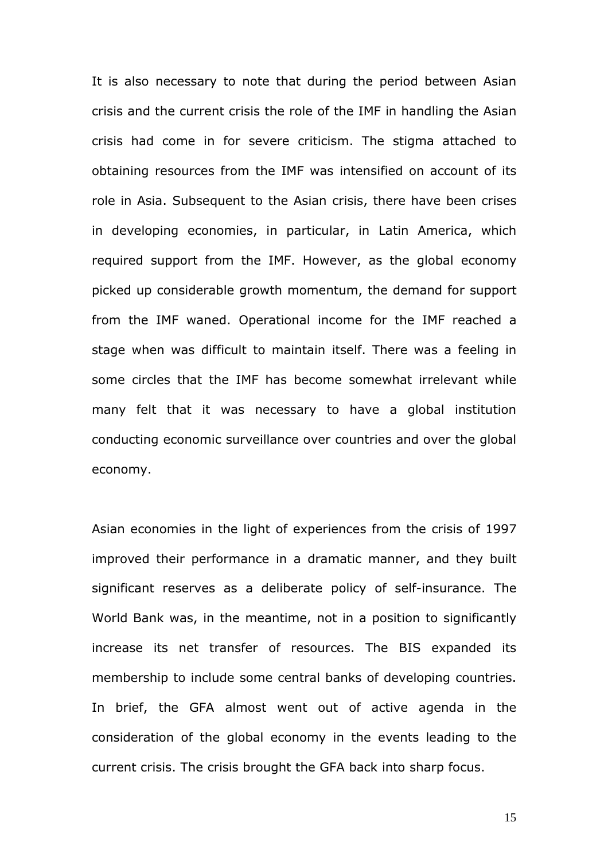It is also necessary to note that during the period between Asian crisis and the current crisis the role of the IMF in handling the Asian crisis had come in for severe criticism. The stigma attached to obtaining resources from the IMF was intensified on account of its role in Asia. Subsequent to the Asian crisis, there have been crises in developing economies, in particular, in Latin America, which required support from the IMF. However, as the global economy picked up considerable growth momentum, the demand for support from the IMF waned. Operational income for the IMF reached a stage when was difficult to maintain itself. There was a feeling in some circles that the IMF has become somewhat irrelevant while many felt that it was necessary to have a global institution conducting economic surveillance over countries and over the global economy.

Asian economies in the light of experiences from the crisis of 1997 improved their performance in a dramatic manner, and they built significant reserves as a deliberate policy of self-insurance. The World Bank was, in the meantime, not in a position to significantly increase its net transfer of resources. The BIS expanded its membership to include some central banks of developing countries. In brief, the GFA almost went out of active agenda in the consideration of the global economy in the events leading to the current crisis. The crisis brought the GFA back into sharp focus.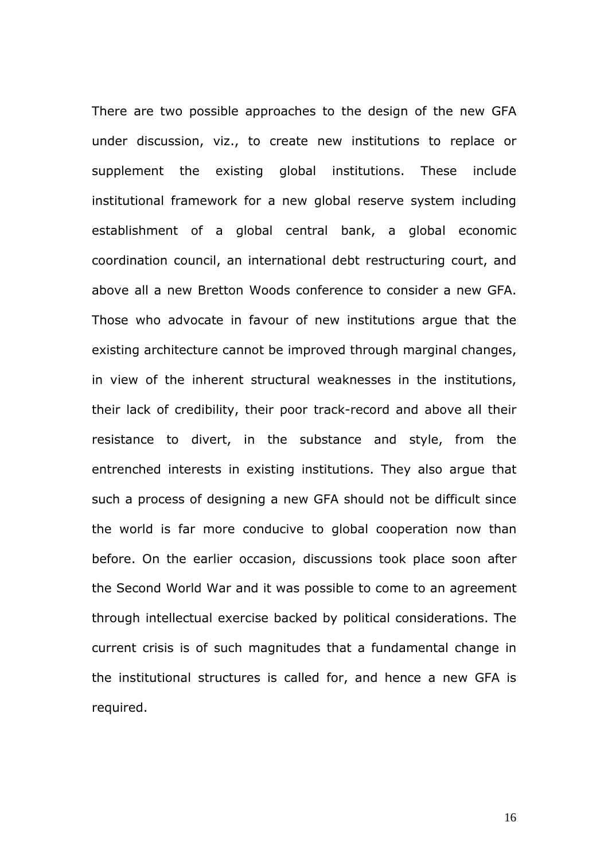There are two possible approaches to the design of the new GFA under discussion, viz., to create new institutions to replace or supplement the existing global institutions. These include institutional framework for a new global reserve system including establishment of a global central bank, a global economic coordination council, an international debt restructuring court, and above all a new Bretton Woods conference to consider a new GFA. Those who advocate in favour of new institutions argue that the existing architecture cannot be improved through marginal changes, in view of the inherent structural weaknesses in the institutions, their lack of credibility, their poor track-record and above all their resistance to divert, in the substance and style, from the entrenched interests in existing institutions. They also argue that such a process of designing a new GFA should not be difficult since the world is far more conducive to global cooperation now than before. On the earlier occasion, discussions took place soon after the Second World War and it was possible to come to an agreement through intellectual exercise backed by political considerations. The current crisis is of such magnitudes that a fundamental change in the institutional structures is called for, and hence a new GFA is required.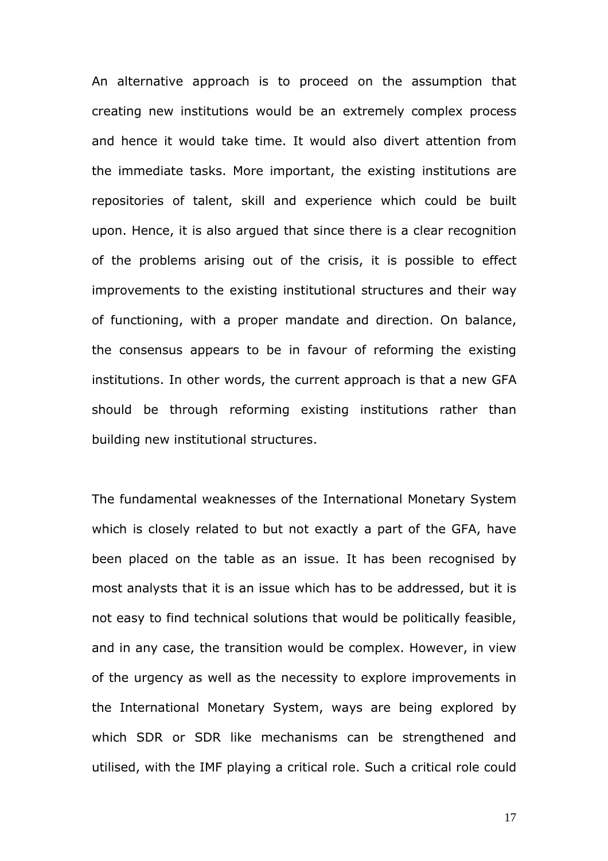An alternative approach is to proceed on the assumption that creating new institutions would be an extremely complex process and hence it would take time. It would also divert attention from the immediate tasks. More important, the existing institutions are repositories of talent, skill and experience which could be built upon. Hence, it is also argued that since there is a clear recognition of the problems arising out of the crisis, it is possible to effect improvements to the existing institutional structures and their way of functioning, with a proper mandate and direction. On balance, the consensus appears to be in favour of reforming the existing institutions. In other words, the current approach is that a new GFA should be through reforming existing institutions rather than building new institutional structures.

The fundamental weaknesses of the International Monetary System which is closely related to but not exactly a part of the GFA, have been placed on the table as an issue. It has been recognised by most analysts that it is an issue which has to be addressed, but it is not easy to find technical solutions that would be politically feasible, and in any case, the transition would be complex. However, in view of the urgency as well as the necessity to explore improvements in the International Monetary System, ways are being explored by which SDR or SDR like mechanisms can be strengthened and utilised, with the IMF playing a critical role. Such a critical role could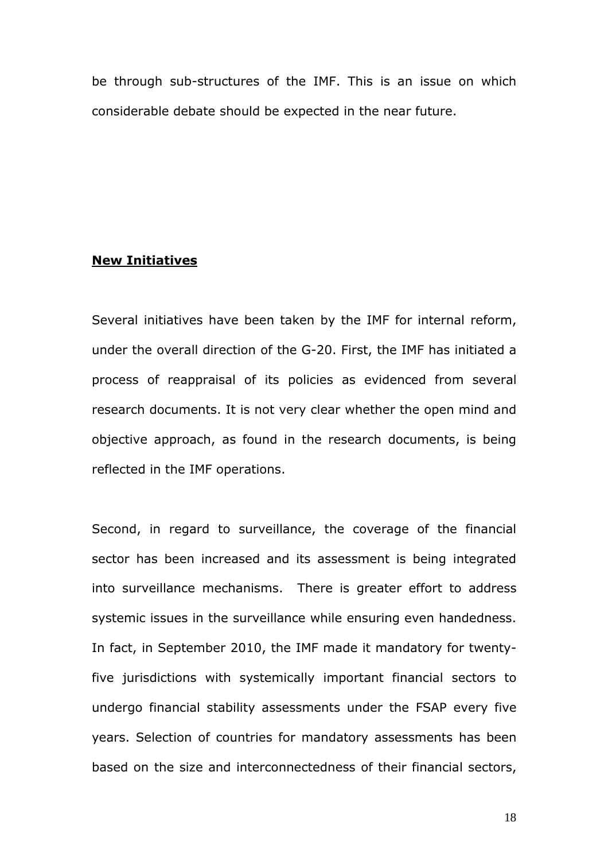be through sub-structures of the IMF. This is an issue on which considerable debate should be expected in the near future.

## New Initiatives

Several initiatives have been taken by the IMF for internal reform, under the overall direction of the G-20. First, the IMF has initiated a process of reappraisal of its policies as evidenced from several research documents. It is not very clear whether the open mind and objective approach, as found in the research documents, is being reflected in the IMF operations.

Second, in regard to surveillance, the coverage of the financial sector has been increased and its assessment is being integrated into surveillance mechanisms. There is greater effort to address systemic issues in the surveillance while ensuring even handedness. In fact, in September 2010, the IMF made it mandatory for twentyfive jurisdictions with systemically important financial sectors to undergo financial stability assessments under the FSAP every five years. Selection of countries for mandatory assessments has been based on the size and interconnectedness of their financial sectors,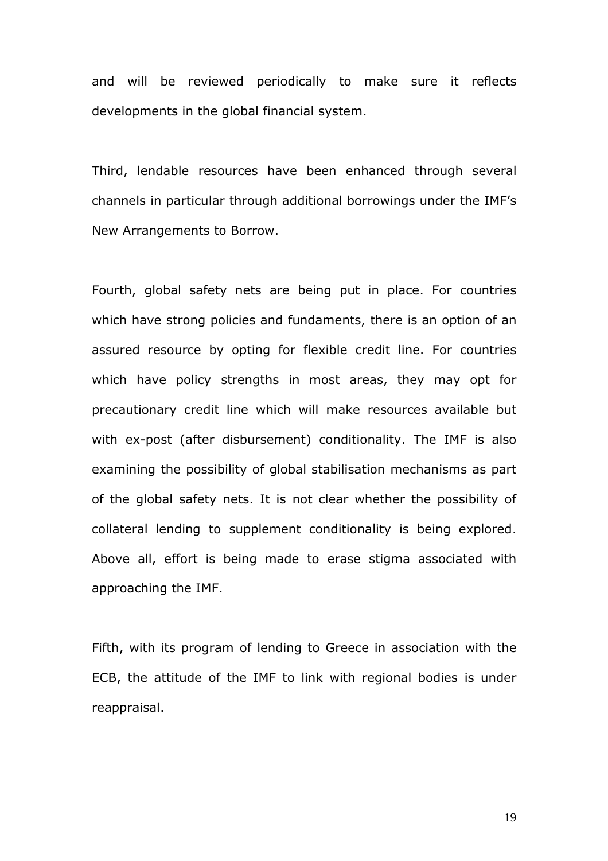and will be reviewed periodically to make sure it reflects developments in the global financial system.

Third, lendable resources have been enhanced through several channels in particular through additional borrowings under the IMF's New Arrangements to Borrow.

Fourth, global safety nets are being put in place. For countries which have strong policies and fundaments, there is an option of an assured resource by opting for flexible credit line. For countries which have policy strengths in most areas, they may opt for precautionary credit line which will make resources available but with ex-post (after disbursement) conditionality. The IMF is also examining the possibility of global stabilisation mechanisms as part of the global safety nets. It is not clear whether the possibility of collateral lending to supplement conditionality is being explored. Above all, effort is being made to erase stigma associated with approaching the IMF.

Fifth, with its program of lending to Greece in association with the ECB, the attitude of the IMF to link with regional bodies is under reappraisal.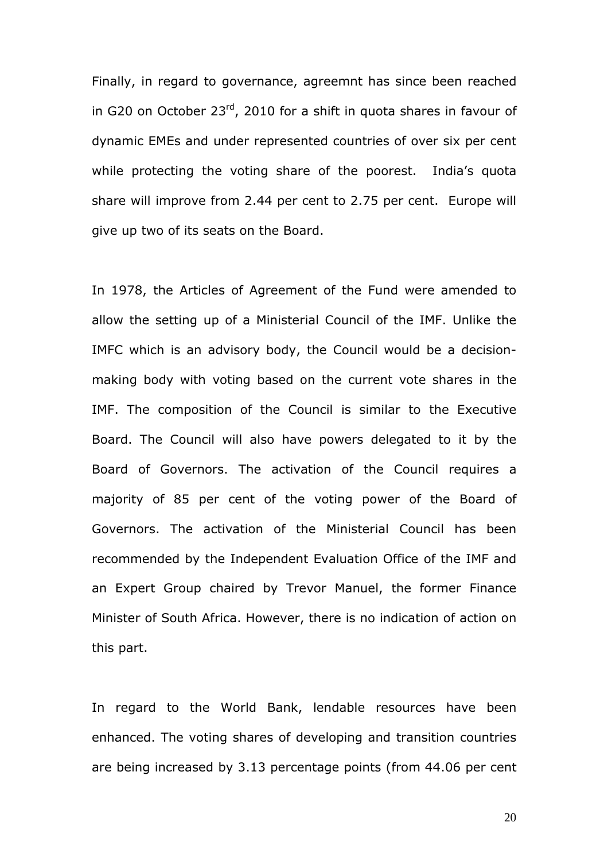Finally, in regard to governance, agreemnt has since been reached in G20 on October 23<sup>rd</sup>, 2010 for a shift in quota shares in favour of dynamic EMEs and under represented countries of over six per cent while protecting the voting share of the poorest. India's quota share will improve from 2.44 per cent to 2.75 per cent. Europe will give up two of its seats on the Board.

In 1978, the Articles of Agreement of the Fund were amended to allow the setting up of a Ministerial Council of the IMF. Unlike the IMFC which is an advisory body, the Council would be a decisionmaking body with voting based on the current vote shares in the IMF. The composition of the Council is similar to the Executive Board. The Council will also have powers delegated to it by the Board of Governors. The activation of the Council requires a majority of 85 per cent of the voting power of the Board of Governors. The activation of the Ministerial Council has been recommended by the Independent Evaluation Office of the IMF and an Expert Group chaired by Trevor Manuel, the former Finance Minister of South Africa. However, there is no indication of action on this part.

In regard to the World Bank, lendable resources have been enhanced. The voting shares of developing and transition countries are being increased by 3.13 percentage points (from 44.06 per cent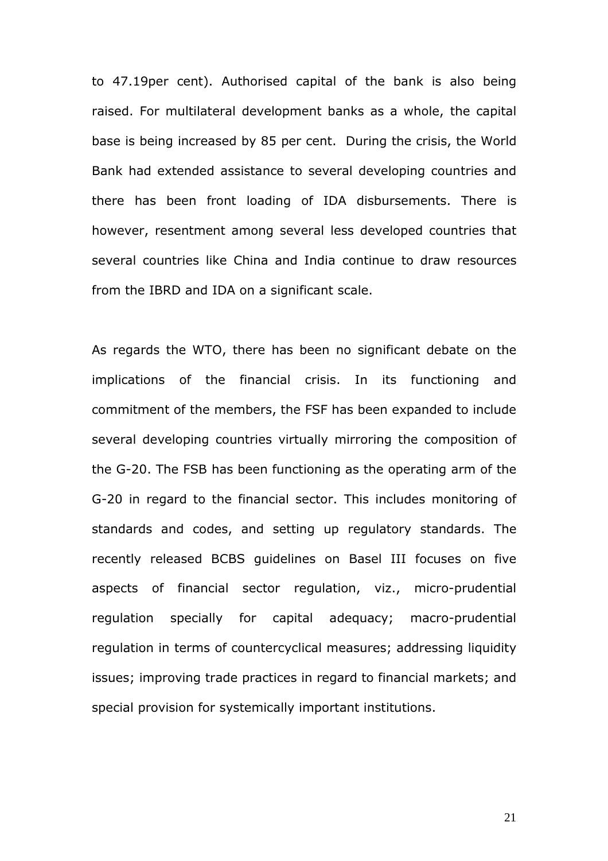to 47.19per cent). Authorised capital of the bank is also being raised. For multilateral development banks as a whole, the capital base is being increased by 85 per cent. During the crisis, the World Bank had extended assistance to several developing countries and there has been front loading of IDA disbursements. There is however, resentment among several less developed countries that several countries like China and India continue to draw resources from the IBRD and IDA on a significant scale.

As regards the WTO, there has been no significant debate on the implications of the financial crisis. In its functioning and commitment of the members, the FSF has been expanded to include several developing countries virtually mirroring the composition of the G-20. The FSB has been functioning as the operating arm of the G-20 in regard to the financial sector. This includes monitoring of standards and codes, and setting up regulatory standards. The recently released BCBS guidelines on Basel III focuses on five aspects of financial sector regulation, viz., micro-prudential regulation specially for capital adequacy; macro-prudential regulation in terms of countercyclical measures; addressing liquidity issues; improving trade practices in regard to financial markets; and special provision for systemically important institutions.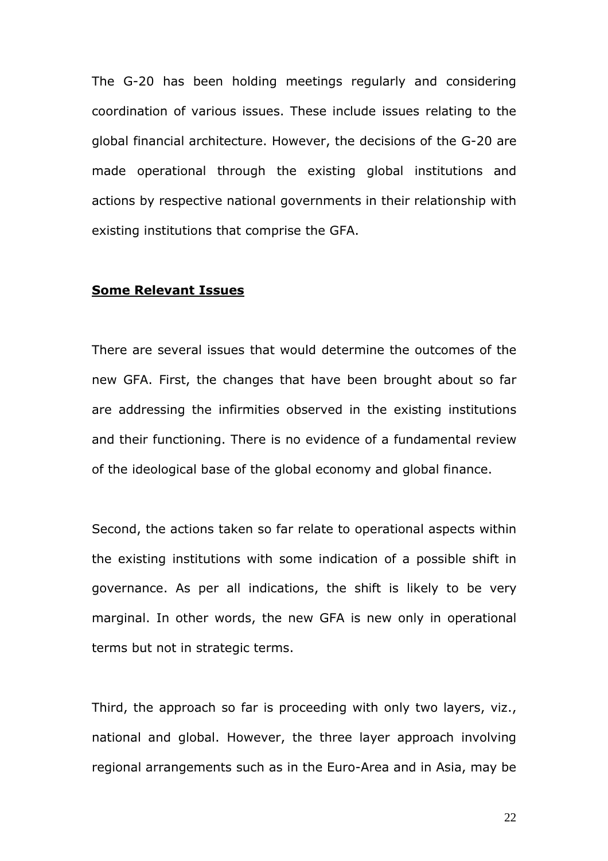The G-20 has been holding meetings regularly and considering coordination of various issues. These include issues relating to the global financial architecture. However, the decisions of the G-20 are made operational through the existing global institutions and actions by respective national governments in their relationship with existing institutions that comprise the GFA.

#### Some Relevant Issues

There are several issues that would determine the outcomes of the new GFA. First, the changes that have been brought about so far are addressing the infirmities observed in the existing institutions and their functioning. There is no evidence of a fundamental review of the ideological base of the global economy and global finance.

Second, the actions taken so far relate to operational aspects within the existing institutions with some indication of a possible shift in governance. As per all indications, the shift is likely to be very marginal. In other words, the new GFA is new only in operational terms but not in strategic terms.

Third, the approach so far is proceeding with only two layers, viz., national and global. However, the three layer approach involving regional arrangements such as in the Euro-Area and in Asia, may be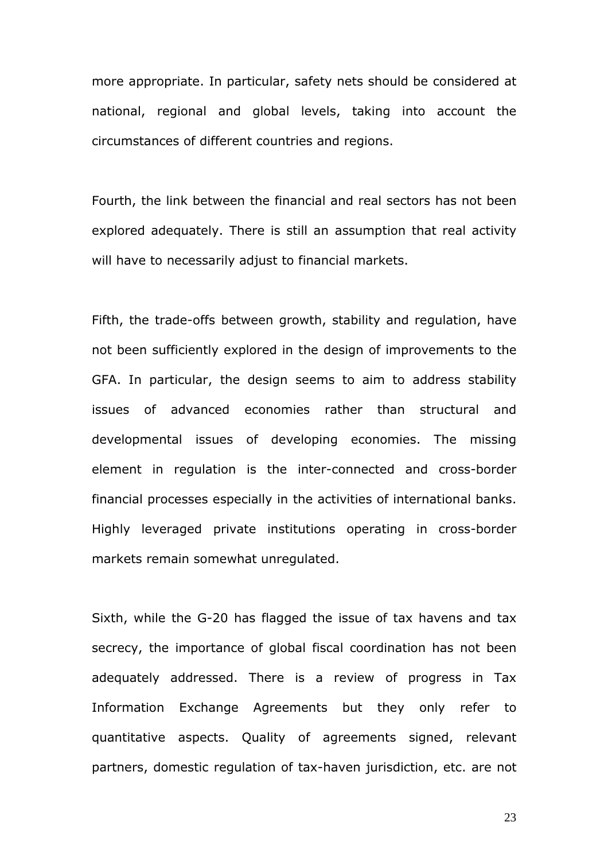more appropriate. In particular, safety nets should be considered at national, regional and global levels, taking into account the circumstances of different countries and regions.

Fourth, the link between the financial and real sectors has not been explored adequately. There is still an assumption that real activity will have to necessarily adjust to financial markets.

Fifth, the trade-offs between growth, stability and regulation, have not been sufficiently explored in the design of improvements to the GFA. In particular, the design seems to aim to address stability issues of advanced economies rather than structural and developmental issues of developing economies. The missing element in regulation is the inter-connected and cross-border financial processes especially in the activities of international banks. Highly leveraged private institutions operating in cross-border markets remain somewhat unregulated.

Sixth, while the G-20 has flagged the issue of tax havens and tax secrecy, the importance of global fiscal coordination has not been adequately addressed. There is a review of progress in Tax Information Exchange Agreements but they only refer to quantitative aspects. Quality of agreements signed, relevant partners, domestic regulation of tax-haven jurisdiction, etc. are not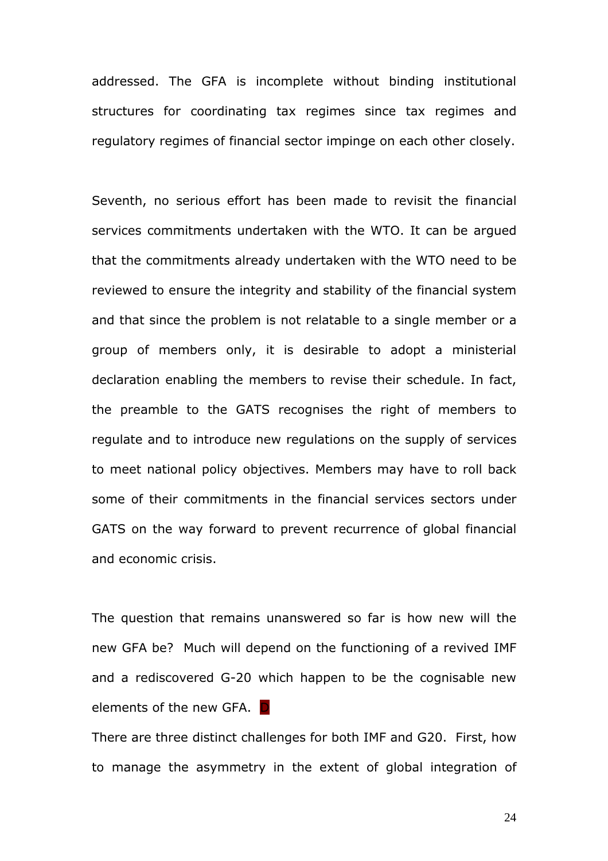addressed. The GFA is incomplete without binding institutional structures for coordinating tax regimes since tax regimes and regulatory regimes of financial sector impinge on each other closely.

Seventh, no serious effort has been made to revisit the financial services commitments undertaken with the WTO. It can be argued that the commitments already undertaken with the WTO need to be reviewed to ensure the integrity and stability of the financial system and that since the problem is not relatable to a single member or a group of members only, it is desirable to adopt a ministerial declaration enabling the members to revise their schedule. In fact, the preamble to the GATS recognises the right of members to regulate and to introduce new regulations on the supply of services to meet national policy objectives. Members may have to roll back some of their commitments in the financial services sectors under GATS on the way forward to prevent recurrence of global financial and economic crisis.

The question that remains unanswered so far is how new will the new GFA be? Much will depend on the functioning of a revived IMF and a rediscovered G-20 which happen to be the cognisable new elements of the new GFA. D

There are three distinct challenges for both IMF and G20. First, how to manage the asymmetry in the extent of global integration of